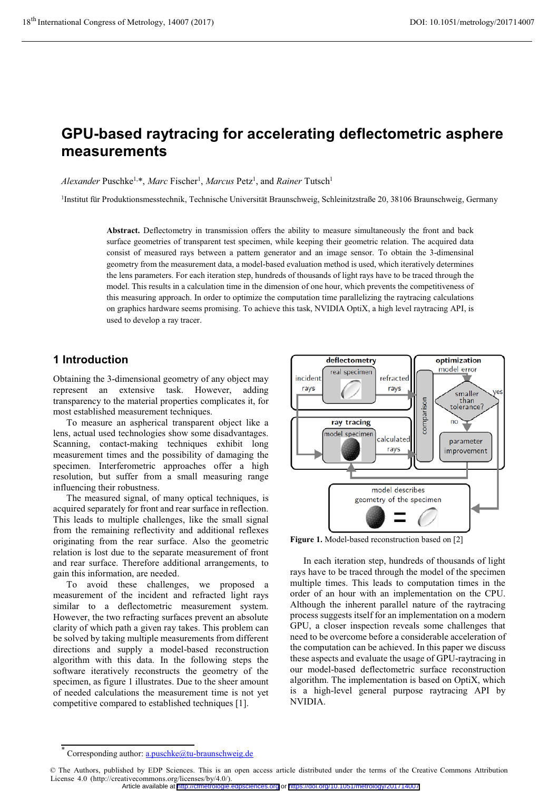# **GPU-based raytracing for accelerating deflectometric asphere measurements**

Alexander Puschke<sup>1,\*</sup>, Marc Fischer<sup>1</sup>, Marcus Petz<sup>1</sup>, and *Rainer* Tutsch<sup>1</sup>

1Institut für Produktionsmesstechnik, Technische Universität Braunschweig, Schleinitzstraße 20, 38106 Braunschweig, Germany

**Abstract.** Deflectometry in transmission offers the ability to measure simultaneously the front and back surface geometries of transparent test specimen, while keeping their geometric relation. The acquired data consist of measured rays between a pattern generator and an image sensor. To obtain the 3-dimensinal geometry from the measurement data, a model-based evaluation method is used, which iteratively determines the lens parameters. For each iteration step, hundreds of thousands of light rays have to be traced through the model. This results in a calculation time in the dimension of one hour, which prevents the competitiveness of this measuring approach. In order to optimize the computation time parallelizing the raytracing calculations on graphics hardware seems promising. To achieve this task, NVIDIA OptiX, a high level raytracing API, is used to develop a ray tracer.

## **1 Introduction**

Obtaining the 3-dimensional geometry of any object may represent an extensive task. However, adding transparency to the material properties complicates it, for most established measurement techniques.

To measure an aspherical transparent object like a lens, actual used technologies show some disadvantages. Scanning, contact-making techniques exhibit long measurement times and the possibility of damaging the specimen. Interferometric approaches offer a high resolution, but suffer from a small measuring range influencing their robustness.

The measured signal, of many optical techniques, is acquired separately for front and rear surface in reflection. This leads to multiple challenges, like the small signal from the remaining reflectivity and additional reflexes originating from the rear surface. Also the geometric relation is lost due to the separate measurement of front and rear surface. Therefore additional arrangements, to gain this information, are needed.

To avoid these challenges, we proposed a measurement of the incident and refracted light rays similar to a deflectometric measurement system. However, the two refracting surfaces prevent an absolute clarity of which path a given ray takes. This problem can be solved by taking multiple measurements from different directions and supply a model-based reconstruction algorithm with this data. In the following steps the software iteratively reconstructs the geometry of the specimen, as figure 1 illustrates. Due to the sheer amount of needed calculations the measurement time is not yet competitive compared to established techniques [1].



**Figure 1.** Model-based reconstruction based on [2]

In each iteration step, hundreds of thousands of light rays have to be traced through the model of the specimen multiple times. This leads to computation times in the order of an hour with an implementation on the CPU. Although the inherent parallel nature of the raytracing process suggests itself for an implementation on a modern GPU, a closer inspection reveals some challenges that need to be overcome before a considerable acceleration of the computation can be achieved. In this paper we discuss these aspects and evaluate the usage of GPU-raytracing in our model-based deflectometric surface reconstruction algorithm. The implementation is based on OptiX, which is a high-level general purpose raytracing API by NVIDIA.

Article available at <http://cfmetrologie.edpsciences.org> or <https://doi.org/10.1051/metrology/201714007>

<sup>\*</sup> Corresponding author: a.puschke@tu-braunschweig.de

<sup>©</sup> The Authors, published by EDP Sciences. This is an open access article distributed under the terms of the Creative Commons Attribution License 4.0 (http://creativecommons.org/licenses/by/4.0/).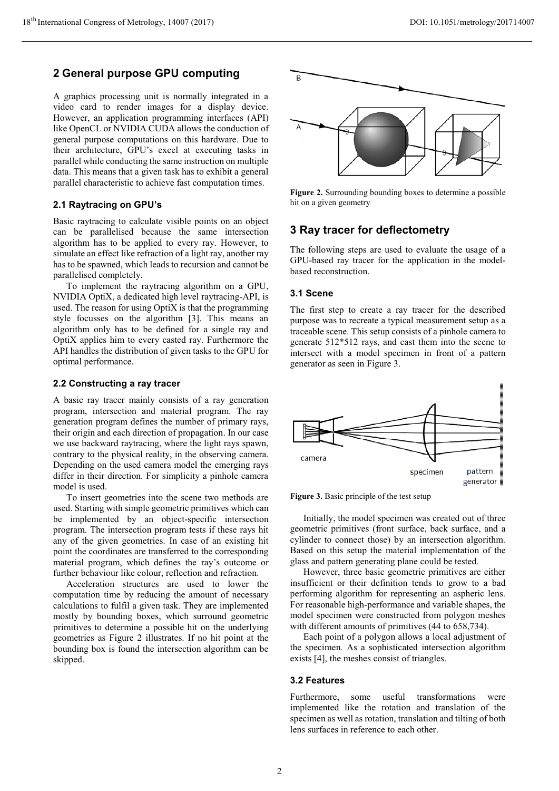## **2 General purpose GPU computing**

A graphics processing unit is normally integrated in a video card to render images for a display device. However, an application programming interfaces (API) like OpenCL or NVIDIA CUDA allows the conduction of general purpose computations on this hardware. Due to their architecture, GPU's excel at executing tasks in parallel while conducting the same instruction on multiple data. This means that a given task has to exhibit a general parallel characteristic to achieve fast computation times.

### **2.1 Raytracing on GPU's**

Basic raytracing to calculate visible points on an object can be parallelised because the same intersection algorithm has to be applied to every ray. However, to simulate an effect like refraction of a light ray, another ray has to be spawned, which leads to recursion and cannot be parallelised completely.

To implement the raytracing algorithm on a GPU, NVIDIA OptiX, a dedicated high level raytracing-API, is used. The reason for using OptiX is that the programming style focusses on the algorithm [3]. This means an algorithm only has to be defined for a single ray and OptiX applies him to every casted ray. Furthermore the API handles the distribution of given tasks to the GPU for optimal performance.

#### **2.2 Constructing a ray tracer**

A basic ray tracer mainly consists of a ray generation program, intersection and material program. The ray generation program defines the number of primary rays, their origin and each direction of propagation. In our case we use backward raytracing, where the light rays spawn, contrary to the physical reality, in the observing camera. Depending on the used camera model the emerging rays differ in their direction. For simplicity a pinhole camera model is used.

To insert geometries into the scene two methods are used. Starting with simple geometric primitives which can be implemented by an object-specific intersection program. The intersection program tests if these rays hit any of the given geometries. In case of an existing hit point the coordinates are transferred to the corresponding material program, which defines the ray's outcome or further behaviour like colour, reflection and refraction.

Acceleration structures are used to lower the computation time by reducing the amount of necessary calculations to fulfil a given task. They are implemented mostly by bounding boxes, which surround geometric primitives to determine a possible hit on the underlying geometries as Figure 2 illustrates. If no hit point at the bounding box is found the intersection algorithm can be skipped.



**Figure 2.** Surrounding bounding boxes to determine a possible hit on a given geometry

## **3 Ray tracer for deflectometry**

The following steps are used to evaluate the usage of a GPU-based ray tracer for the application in the modelbased reconstruction.

#### **3.1 Scene**

The first step to create a ray tracer for the described purpose was to recreate a typical measurement setup as a traceable scene. This setup consists of a pinhole camera to generate 512\*512 rays, and cast them into the scene to intersect with a model specimen in front of a pattern generator as seen in Figure 3.



**Figure 3.** Basic principle of the test setup

Initially, the model specimen was created out of three geometric primitives (front surface, back surface, and a cylinder to connect those) by an intersection algorithm. Based on this setup the material implementation of the glass and pattern generating plane could be tested.

However, three basic geometric primitives are either insufficient or their definition tends to grow to a bad performing algorithm for representing an aspheric lens. For reasonable high-performance and variable shapes, the model specimen were constructed from polygon meshes with different amounts of primitives (44 to 658,734).

Each point of a polygon allows a local adjustment of the specimen. As a sophisticated intersection algorithm exists [4], the meshes consist of triangles.

#### **3.2 Features**

Furthermore, some useful transformations were implemented like the rotation and translation of the specimen as well as rotation, translation and tilting of both lens surfaces in reference to each other.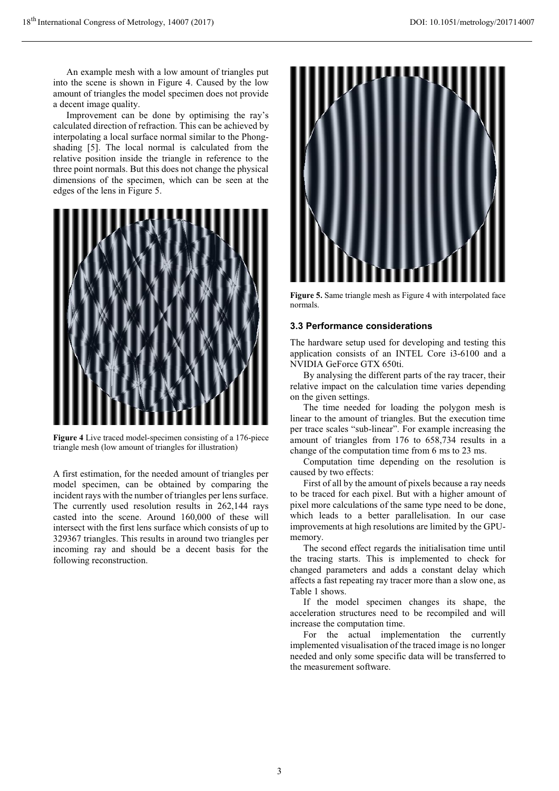An example mesh with a low amount of triangles put into the scene is shown in Figure 4. Caused by the low amount of triangles the model specimen does not provide a decent image quality.

Improvement can be done by optimising the ray's calculated direction of refraction. This can be achieved by interpolating a local surface normal similar to the Phongshading [5]. The local normal is calculated from the relative position inside the triangle in reference to the three point normals. But this does not change the physical dimensions of the specimen, which can be seen at the edges of the lens in Figure 5.



**Figure 4** Live traced model-specimen consisting of a 176-piece triangle mesh (low amount of triangles for illustration)

A first estimation, for the needed amount of triangles per model specimen, can be obtained by comparing the incident rays with the number of triangles per lens surface. The currently used resolution results in 262,144 rays casted into the scene. Around 160,000 of these will intersect with the first lens surface which consists of up to 329367 triangles. This results in around two triangles per incoming ray and should be a decent basis for the following reconstruction.



**Figure 5.** Same triangle mesh as Figure 4 with interpolated face normals.

#### **3.3 Performance considerations**

The hardware setup used for developing and testing this application consists of an INTEL Core i3-6100 and a NVIDIA GeForce GTX 650ti.

By analysing the different parts of the ray tracer, their relative impact on the calculation time varies depending on the given settings.

The time needed for loading the polygon mesh is linear to the amount of triangles. But the execution time per trace scales "sub-linear". For example increasing the amount of triangles from 176 to 658,734 results in a change of the computation time from 6 ms to 23 ms.

Computation time depending on the resolution is caused by two effects:

First of all by the amount of pixels because a ray needs to be traced for each pixel. But with a higher amount of pixel more calculations of the same type need to be done, which leads to a better parallelisation. In our case improvements at high resolutions are limited by the GPUmemory.

The second effect regards the initialisation time until the tracing starts. This is implemented to check for changed parameters and adds a constant delay which affects a fast repeating ray tracer more than a slow one, as Table 1 shows.

If the model specimen changes its shape, the acceleration structures need to be recompiled and will increase the computation time.

For the actual implementation the currently implemented visualisation of the traced image is no longer needed and only some specific data will be transferred to the measurement software.